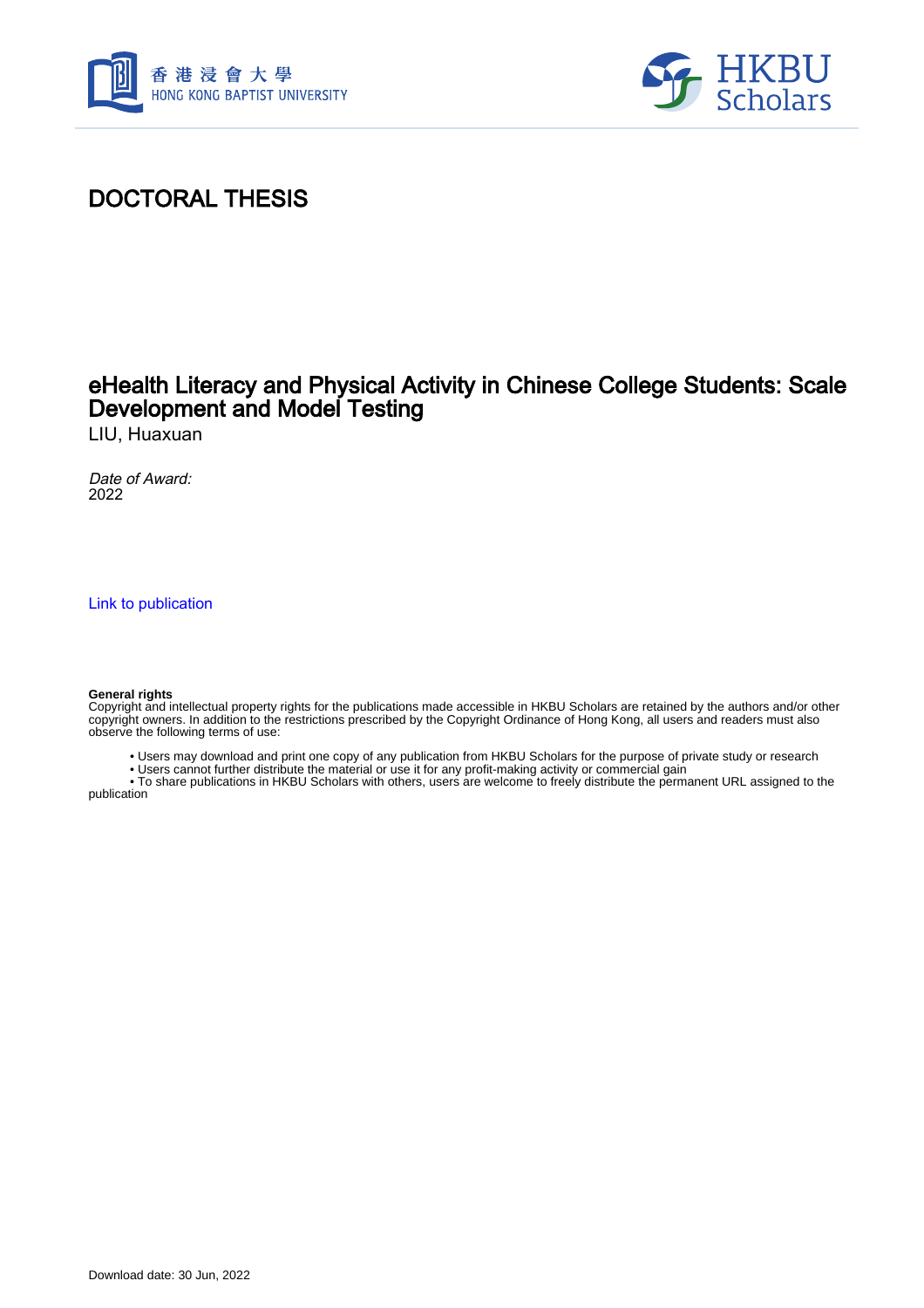



# DOCTORAL THESIS

## eHealth Literacy and Physical Activity in Chinese College Students: Scale Development and Model Testing

LIU, Huaxuan

Date of Award: 2022

[Link to publication](https://scholars.hkbu.edu.hk/en/studentTheses/7f5e6a09-410f-4615-96f0-a7f68a1997e8)

#### **General rights**

Copyright and intellectual property rights for the publications made accessible in HKBU Scholars are retained by the authors and/or other copyright owners. In addition to the restrictions prescribed by the Copyright Ordinance of Hong Kong, all users and readers must also observe the following terms of use:

- Users may download and print one copy of any publication from HKBU Scholars for the purpose of private study or research
- Users cannot further distribute the material or use it for any profit-making activity or commercial gain

 • To share publications in HKBU Scholars with others, users are welcome to freely distribute the permanent URL assigned to the publication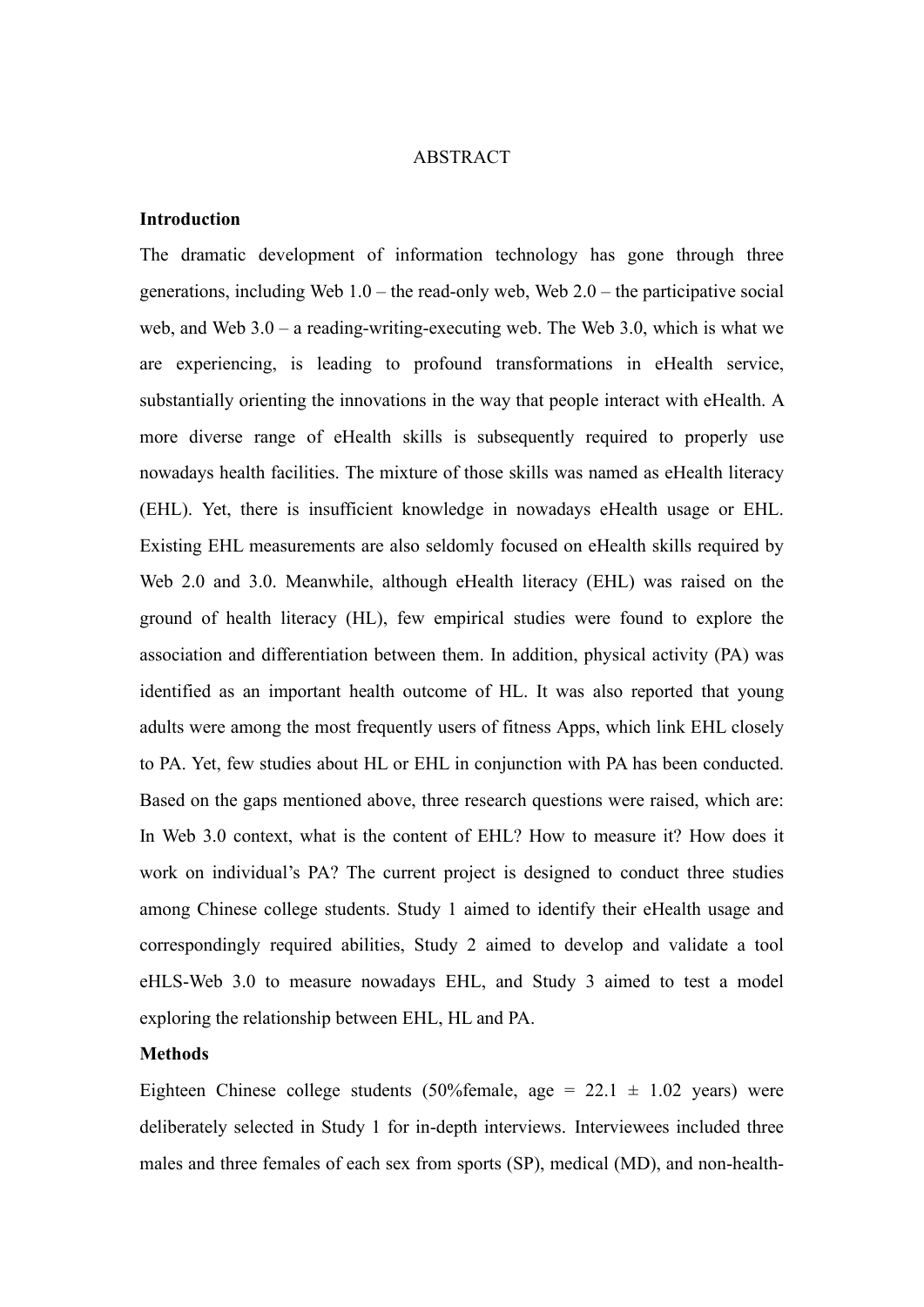#### ABSTRACT

#### **Introduction**

The dramatic development of information technology has gone through three generations, including Web 1.0 – the read-only web, Web 2.0 – the participative social web, and Web 3.0 – a reading-writing-executing web. The Web 3.0, which is what we are experiencing, is leading to profound transformations in eHealth service, substantially orienting the innovations in the way that people interact with eHealth. A more diverse range of eHealth skills is subsequently required to properly use nowadays health facilities. The mixture of those skills was named as eHealth literacy (EHL). Yet, there is insufficient knowledge in nowadays eHealth usage or EHL. Existing EHL measurements are also seldomly focused on eHealth skills required by Web 2.0 and 3.0. Meanwhile, although eHealth literacy (EHL) was raised on the ground of health literacy (HL), few empirical studies were found to explore the association and differentiation between them. In addition, physical activity (PA) was identified as an important health outcome of HL. It was also reported that young adults were among the most frequently users of fitness Apps, which link EHL closely to PA. Yet, few studies about HL or EHL in conjunction with PA has been conducted. Based on the gaps mentioned above, three research questions were raised, which are: In Web 3.0 context, what is the content of EHL? How to measure it? How does it work on individual's PA? The current project is designed to conduct three studies among Chinese college students. Study 1 aimed to identify their eHealth usage and correspondingly required abilities, Study 2 aimed to develop and validate a tool eHLS-Web 3.0 to measure nowadays EHL, and Study 3 aimed to test a model exploring the relationship between EHL, HL and PA.

### **Methods**

Eighteen Chinese college students (50%female, age =  $22.1 \pm 1.02$  years) were deliberately selected in Study 1 for in-depth interviews. Interviewees included three males and three females of each sex from sports (SP), medical (MD), and non-health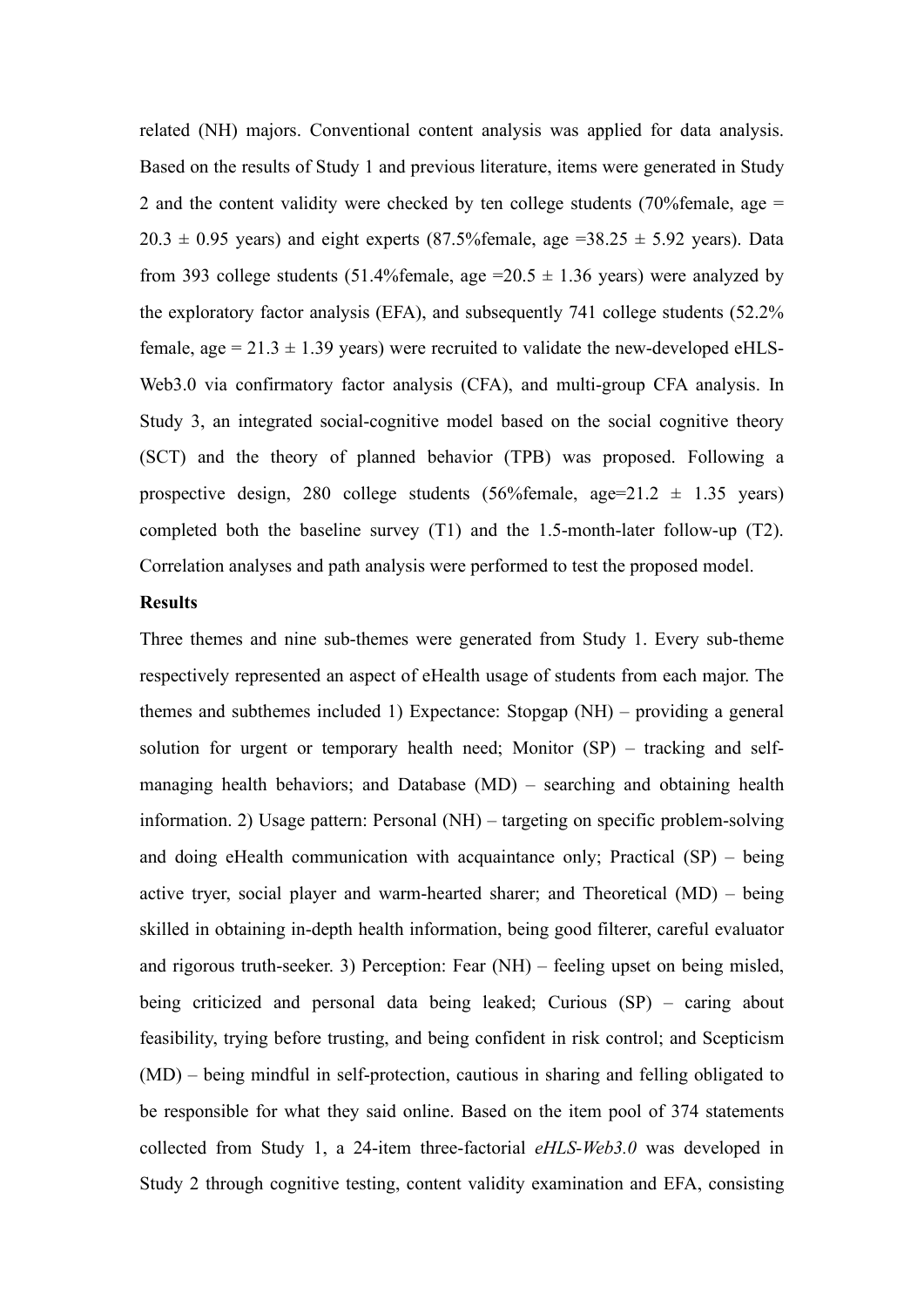related (NH) majors. Conventional content analysis was applied for data analysis. Based on the results of Study 1 and previous literature, items were generated in Study 2 and the content validity were checked by ten college students (70% female, age  $=$  $20.3 \pm 0.95$  years) and eight experts (87.5% female, age =38.25  $\pm$  5.92 years). Data from 393 college students (51.4%female, age =20.5  $\pm$  1.36 years) were analyzed by the exploratory factor analysis (EFA), and subsequently 741 college students (52.2% female, age =  $21.3 \pm 1.39$  years) were recruited to validate the new-developed eHLS-Web3.0 via confirmatory factor analysis (CFA), and multi-group CFA analysis. In Study 3, an integrated social-cognitive model based on the social cognitive theory (SCT) and the theory of planned behavior (TPB) was proposed. Following a prospective design, 280 college students  $(56\%$ female, age=21.2  $\pm$  1.35 years) completed both the baseline survey (T1) and the 1.5-month-later follow-up (T2). Correlation analyses and path analysis were performed to test the proposed model.

### **Results**

Three themes and nine sub-themes were generated from Study 1. Every sub-theme respectively represented an aspect of eHealth usage of students from each major. The themes and subthemes included 1) Expectance: Stopgap (NH) – providing a general solution for urgent or temporary health need; Monitor (SP) – tracking and selfmanaging health behaviors; and Database (MD) – searching and obtaining health information. 2) Usage pattern: Personal (NH) – targeting on specific problem-solving and doing eHealth communication with acquaintance only; Practical  $(SP)$  – being active tryer, social player and warm-hearted sharer; and Theoretical (MD) – being skilled in obtaining in-depth health information, being good filterer, careful evaluator and rigorous truth-seeker. 3) Perception: Fear (NH) – feeling upset on being misled, being criticized and personal data being leaked; Curious (SP) – caring about feasibility, trying before trusting, and being confident in risk control; and Scepticism (MD) – being mindful in self-protection, cautious in sharing and felling obligated to be responsible for what they said online. Based on the item pool of 374 statements collected from Study 1, a 24-item three-factorial *eHLS-Web3.0* was developed in Study 2 through cognitive testing, content validity examination and EFA, consisting